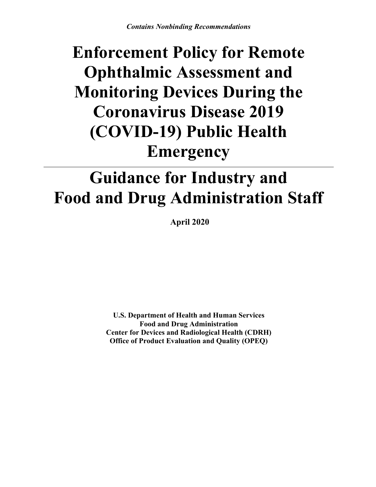# **Enforcement Policy for Remote Ophthalmic Assessment and Monitoring Devices During the Coronavirus Disease 2019 (COVID-19) Public Health Emergency**

# **Guidance for Industry and Food and Drug Administration Staff**

**April 2020**

**U.S. Department of Health and Human Services Food and Drug Administration Center for Devices and Radiological Health (CDRH) Office of Product Evaluation and Quality (OPEQ)**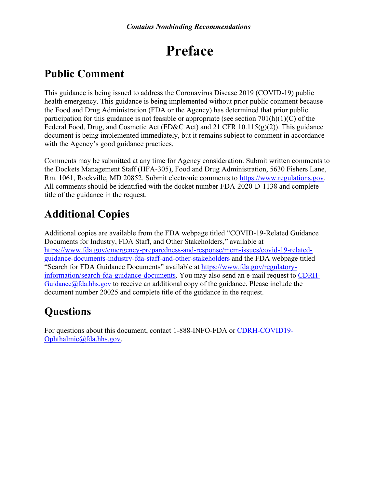## **Preface**

## **Public Comment**

This guidance is being issued to address the Coronavirus Disease 2019 (COVID-19) public health emergency. This guidance is being implemented without prior public comment because the Food and Drug Administration (FDA or the Agency) has determined that prior public participation for this guidance is not feasible or appropriate (see section  $701(h)(1)(C)$  of the Federal Food, Drug, and Cosmetic Act (FD&C Act) and 21 CFR 10.115(g)(2)). This guidance document is being implemented immediately, but it remains subject to comment in accordance with the Agency's good guidance practices.

Comments may be submitted at any time for Agency consideration. Submit written comments to the Dockets Management Staff (HFA-305), Food and Drug Administration, 5630 Fishers Lane, Rm. 1061, Rockville, MD 20852. Submit electronic comments to [https://www.regulations.gov.](https://www.regulations.gov/) All comments should be identified with the docket number FDA-2020-D-1138 and complete title of the guidance in the request.

## **Additional Copies**

Additional copies are available from the FDA webpage titled "COVID-19-Related Guidance Documents for Industry, FDA Staff, and Other Stakeholders," available at [https://www.fda.gov/emergency-preparedness-and-response/mcm-issues/covid-19-related](https://www.fda.gov/emergency-preparedness-and-response/mcm-issues/covid-19-related-guidance-documents-industry-fda-staff-and-other-stakeholders)[guidance-documents-industry-fda-staff-and-other-stakeholders](https://www.fda.gov/emergency-preparedness-and-response/mcm-issues/covid-19-related-guidance-documents-industry-fda-staff-and-other-stakeholders) and the FDA webpage titled "Search for FDA Guidance Documents" available at [https://www.fda.gov/regulatory](https://www.fda.gov/regulatory-information/search-fda-guidance-documents)[information/search-fda-guidance-documents](https://www.fda.gov/regulatory-information/search-fda-guidance-documents). You may also send an e-mail request to [CDRH-](mailto:CDRH-Guidance@fda.hhs.gov)Guidance $@$ fda.hhs.gov to receive an additional copy of the guidance. Please include the document number 20025 and complete title of the guidance in the request.

## **Questions**

For questions about this document, contact 1-888-INFO-FDA or [CDRH-COVID19-](mailto:CDRH-COVID19-Ophthalmic@fda.hhs.gov) [Ophthalmic@fda.hhs.gov.](mailto:CDRH-COVID19-Ophthalmic@fda.hhs.gov)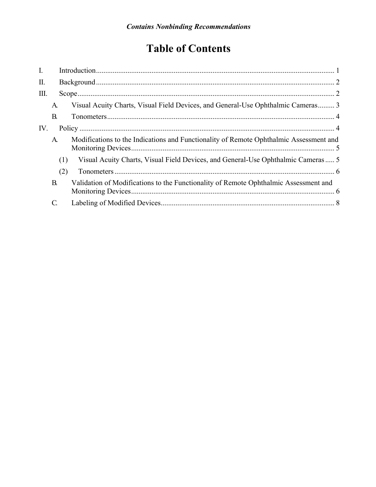## **Table of Contents**

| $\mathbf{I}$ . |           |                                                                                        |  |
|----------------|-----------|----------------------------------------------------------------------------------------|--|
| Π.             |           |                                                                                        |  |
| Ш.             |           |                                                                                        |  |
|                | A.        | Visual Acuity Charts, Visual Field Devices, and General-Use Ophthalmic Cameras 3       |  |
|                | B         |                                                                                        |  |
| IV.            |           |                                                                                        |  |
|                | A.        | Modifications to the Indications and Functionality of Remote Ophthalmic Assessment and |  |
|                | (1)       | Visual Acuity Charts, Visual Field Devices, and General-Use Ophthalmic Cameras 5       |  |
|                | (2)       |                                                                                        |  |
|                | <b>B.</b> | Validation of Modifications to the Functionality of Remote Ophthalmic Assessment and   |  |
|                | C.        |                                                                                        |  |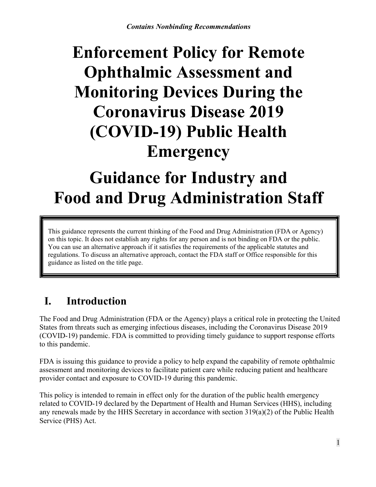# **Enforcement Policy for Remote Ophthalmic Assessment and Monitoring Devices During the Coronavirus Disease 2019 (COVID-19) Public Health Emergency**

# **Guidance for Industry and Food and Drug Administration Staff**

This guidance represents the current thinking of the Food and Drug Administration (FDA or Agency) on this topic. It does not establish any rights for any person and is not binding on FDA or the public. You can use an alternative approach if it satisfies the requirements of the applicable statutes and regulations. To discuss an alternative approach, contact the FDA staff or Office responsible for this guidance as listed on the title page.

## <span id="page-3-0"></span>**I. Introduction**

The Food and Drug Administration (FDA or the Agency) plays a critical role in protecting the United States from threats such as emerging infectious diseases, including the Coronavirus Disease 2019 (COVID-19) pandemic. FDA is committed to providing timely guidance to support response efforts to this pandemic.

FDA is issuing this guidance to provide a policy to help expand the capability of remote ophthalmic assessment and monitoring devices to facilitate patient care while reducing patient and healthcare provider contact and exposure to COVID-19 during this pandemic.

This policy is intended to remain in effect only for the duration of the public health emergency related to COVID-19 declared by the Department of Health and Human Services (HHS), including any renewals made by the HHS Secretary in accordance with section 319(a)(2) of the Public Health Service (PHS) Act.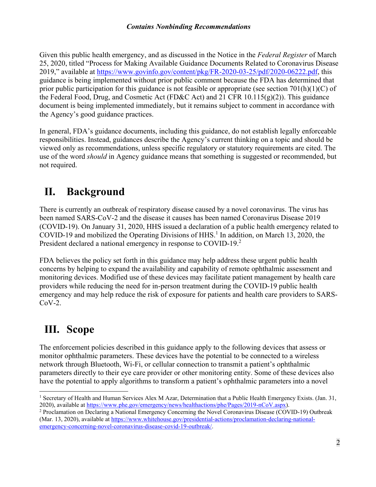Given this public health emergency, and as discussed in the Notice in the *Federal Register* of March 25, 2020, titled "Process for Making Available Guidance Documents Related to Coronavirus Disease 2019," available at [https://www.govinfo.gov/content/pkg/FR-2020-03-25/pdf/2020-06222.pdf,](https://www.govinfo.gov/content/pkg/FR-2020-03-25/pdf/2020-06222.pdf) this guidance is being implemented without prior public comment because the FDA has determined that prior public participation for this guidance is not feasible or appropriate (see section  $701(h)(1)(C)$  of the Federal Food, Drug, and Cosmetic Act (FD&C Act) and 21 CFR 10.115(g)(2)). This guidance document is being implemented immediately, but it remains subject to comment in accordance with the Agency's good guidance practices.

In general, FDA's guidance documents, including this guidance, do not establish legally enforceable responsibilities. Instead, guidances describe the Agency's current thinking on a topic and should be viewed only as recommendations, unless specific regulatory or statutory requirements are cited. The use of the word *should* in Agency guidance means that something is suggested or recommended, but not required.

## <span id="page-4-0"></span>**II. Background**

There is currently an outbreak of respiratory disease caused by a novel coronavirus. The virus has been named SARS-CoV-2 and the disease it causes has been named Coronavirus Disease 2019 (COVID-19). On January 31, 2020, HHS issued a declaration of a public health emergency related to COVID-[1](#page-4-2)9 and mobilized the Operating Divisions of HHS.<sup>1</sup> In addition, on March 13, 2020, the President declared a national emergency in response to COVID-19.<sup>[2](#page-4-3)</sup>

FDA believes the policy set forth in this guidance may help address these urgent public health concerns by helping to expand the availability and capability of remote ophthalmic assessment and monitoring devices. Modified use of these devices may facilitate patient management by health care providers while reducing the need for in-person treatment during the COVID-19 public health emergency and may help reduce the risk of exposure for patients and health care providers to SARS- $CoV-2$ .

## <span id="page-4-1"></span>**III. Scope**

The enforcement policies described in this guidance apply to the following devices that assess or monitor ophthalmic parameters. These devices have the potential to be connected to a wireless network through Bluetooth, Wi-Fi, or cellular connection to transmit a patient's ophthalmic parameters directly to their eye care provider or other monitoring entity. Some of these devices also have the potential to apply algorithms to transform a patient's ophthalmic parameters into a novel

<span id="page-4-2"></span> $\overline{a}$ <sup>1</sup> Secretary of Health and Human Services Alex M Azar, Determination that a Public Health Emergency Exists. (Jan. 31, 2020), available at <https://www.phe.gov/emergency/news/healthactions/phe/Pages/2019-nCoV.aspx>).

<span id="page-4-3"></span><sup>2</sup> Proclamation on Declaring a National Emergency Concerning the Novel Coronavirus Disease (COVID-19) Outbreak (Mar. 13, 2020), available at [https://www.whitehouse.gov/presidential-actions/proclamation-declaring-national](https://www.whitehouse.gov/presidential-actions/proclamation-declaring-national-emergency-concerning-novel-coronavirus-disease-covid-19-outbreak/)[emergency-concerning-novel-coronavirus-disease-covid-19-outbreak/.](https://www.whitehouse.gov/presidential-actions/proclamation-declaring-national-emergency-concerning-novel-coronavirus-disease-covid-19-outbreak/)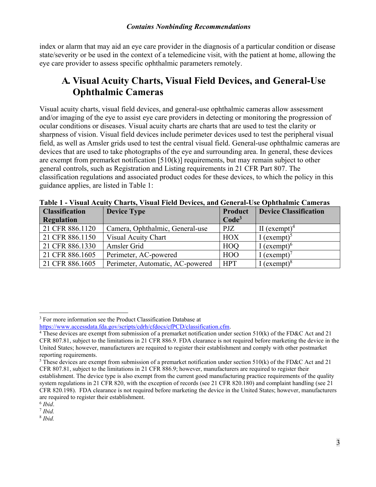index or alarm that may aid an eye care provider in the diagnosis of a particular condition or disease state/severity or be used in the context of a telemedicine visit, with the patient at home, allowing the eye care provider to assess specific ophthalmic parameters remotely.

### <span id="page-5-0"></span>A. Visual Acuity Charts, Visual Field Devices, and General-Use **Ophthalmic Cameras**

Visual acuity charts, visual field devices, and general-use ophthalmic cameras allow assessment and/or imaging of the eye to assist eye care providers in detecting or monitoring the progression of ocular conditions or diseases. Visual acuity charts are charts that are used to test the clarity or sharpness of vision. Visual field devices include perimeter devices used to test the peripheral visual field, as well as Amsler grids used to test the central visual field. General-use ophthalmic cameras are devices that are used to take photographs of the eye and surrounding area. In general, these devices are exempt from premarket notification [510(k)] requirements, but may remain subject to other general controls, such as Registration and Listing requirements in 21 CFR Part 807. The classification regulations and associated product codes for these devices, to which the policy in this guidance applies, are listed in Table 1:

| <b>Classification</b> | <b>Device Type</b>               | Product           | <b>Device Classification</b> |
|-----------------------|----------------------------------|-------------------|------------------------------|
| <b>Regulation</b>     |                                  | Code <sup>3</sup> |                              |
| 21 CFR 886.1120       | Camera, Ophthalmic, General-use  | PJZ               | II $(exempt)^4$              |
| 21 CFR 886.1150       | <b>Visual Acuity Chart</b>       | <b>HOX</b>        | I (exempt) <sup>5</sup>      |
| 21 CFR 886.1330       | Amsler Grid                      | <b>HOO</b>        | I (exempt) $^{6}$            |
| 21 CFR 886.1605       | Perimeter, AC-powered            | <b>HOO</b>        | I (exempt) <sup>7</sup>      |
| 21 CFR 886.1605       | Perimeter, Automatic, AC-powered | <b>HPT</b>        | $[$ (exempt) <sup>8</sup>    |

**Table 1 - Visual Acuity Charts, Visual Field Devices, and General-Use Ophthalmic Cameras**

<span id="page-5-1"></span> $\ddot{ }$ <sup>3</sup> For more information see the Product Classification Database at

[https://www.accessdata.fda.gov/scripts/cdrh/cfdocs/cfPCD/classification.cfm.](https://www.accessdata.fda.gov/scripts/cdrh/cfdocs/cfPCD/classification.cfm)

<span id="page-5-2"></span><sup>&</sup>lt;sup>4</sup> These devices are exempt from submission of a premarket notification under section 510(k) of the FD&C Act and 21 CFR 807.81, subject to the limitations in 21 CFR 886.9. FDA clearance is not required before marketing the device in the United States; however, manufacturers are required to register their establishment and comply with other postmarket reporting requirements.

<span id="page-5-3"></span><sup>&</sup>lt;sup>5</sup> These devices are exempt from submission of a premarket notification under section  $510(k)$  of the FD&C Act and 21 CFR 807.81, subject to the limitations in 21 CFR 886.9; however, manufacturers are required to register their establishment. The device type is also exempt from the current good manufacturing practice requirements of the quality system regulations in 21 CFR 820, with the exception of records (see 21 CFR 820.180) and complaint handling (see 21 CFR 820.198). FDA clearance is not required before marketing the device in the United States; however, manufacturers are required to register their establishment.

<span id="page-5-4"></span><sup>6</sup> *Ibid*.

<span id="page-5-5"></span><sup>7</sup> *Ibid.*

<span id="page-5-6"></span><sup>8</sup> *Ibid.*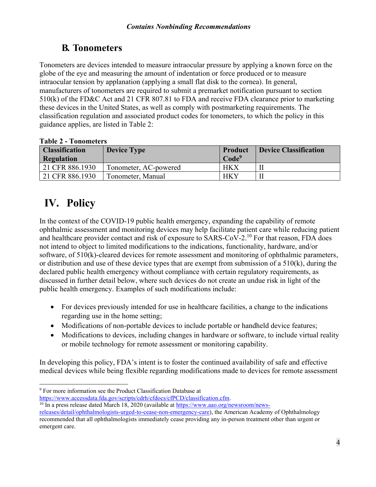### <span id="page-6-0"></span>**B. Tonometers**

Tonometers are devices intended to measure intraocular pressure by applying a known force on the globe of the eye and measuring the amount of indentation or force produced or to measure intraocular tension by applanation (applying a small flat disk to the cornea). In general, manufacturers of tonometers are required to submit a premarket notification pursuant to section 510(k) of the FD&C Act and 21 CFR 807.81 to FDA and receive FDA clearance prior to marketing these devices in the United States, as well as comply with postmarketing requirements. The classification regulation and associated product codes for tonometers, to which the policy in this guidance applies, are listed in Table 2:

| <b>Classification</b><br>Regulation | <b>Device Type</b>    | <b>Product</b><br>Code <sup>9</sup> | <b>Device Classification</b> |
|-------------------------------------|-----------------------|-------------------------------------|------------------------------|
| 21 CFR 886.1930                     | Tonometer, AC-powered | <b>HKX</b>                          |                              |
| 21 CFR 886.1930                     | Tonometer, Manual     | <b>HKY</b>                          |                              |

#### **Table 2 - Tonometers**

## <span id="page-6-1"></span>**IV. Policy**

In the context of the COVID-19 public health emergency, expanding the capability of remote ophthalmic assessment and monitoring devices may help facilitate patient care while reducing patient and healthcare provider contact and risk of exposure to SARS-CoV-2.[10](#page-6-3) For that reason, FDA does not intend to object to limited modifications to the indications, functionality, hardware, and/or software, of 510(k)-cleared devices for remote assessment and monitoring of ophthalmic parameters, or distribution and use of these device types that are exempt from submission of a 510(k), during the declared public health emergency without compliance with certain regulatory requirements, as discussed in further detail below, where such devices do not create an undue risk in light of the public health emergency. Examples of such modifications include:

- For devices previously intended for use in healthcare facilities, a change to the indications regarding use in the home setting;
- · Modifications of non-portable devices to include portable or handheld device features;
- Modifications to devices, including changes in hardware or software, to include virtual reality or mobile technology for remote assessment or monitoring capability.

In developing this policy, FDA's intent is to foster the continued availability of safe and effective medical devices while being flexible regarding modifications made to devices for remote assessment

<span id="page-6-2"></span> $\overline{a}$ <sup>9</sup> For more information see the Product Classification Database at [https://www.accessdata.fda.gov/scripts/cdrh/cfdocs/cfPCD/classification.cfm.](https://www.accessdata.fda.gov/scripts/cdrh/cfdocs/cfPCD/classification.cfm)

<span id="page-6-3"></span><sup>&</sup>lt;sup>10</sup> In a press release dated March 18, 2020 (available at [https://www.aao.org/newsroom/news-](https://www.aao.org/newsroom/news-releases/detail/ophthalmologists-urged-to-cease-non-emergency-care)

[releases/detail/ophthalmologists-urged-to-cease-non-emergency-care](https://www.aao.org/newsroom/news-releases/detail/ophthalmologists-urged-to-cease-non-emergency-care)), the American Academy of Ophthalmology recommended that all ophthalmologists immediately cease providing any in-person treatment other than urgent or emergent care.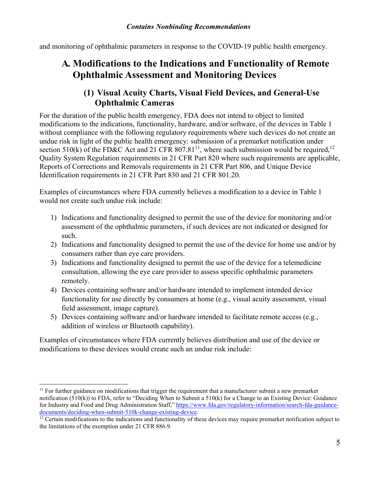and monitoring of ophthalmic parameters in response to the COVID-19 public health emergency.

### <span id="page-7-0"></span>**A. Modifications to the Indications and Functionality of Remote Ophthalmic Assessment and Monitoring Devices**

#### **(1) Visual Acuity Charts, Visual Field Devices, and General-Use Ophthalmic Cameras**

<span id="page-7-1"></span>For the duration of the public health emergency, FDA does not intend to object to limited modifications to the indications, functionality, hardware, and/or software, of the devices in Table 1 without compliance with the following regulatory requirements where such devices do not create an undue risk in light of the public health emergency: submission of a premarket notification under section 510(k) of the FD&C Act and 21 CFR 807.81<sup>[11](#page-7-2)</sup>, where such submission would be required,<sup>[12](#page-7-3)</sup> Quality System Regulation requirements in 21 CFR Part 820 where such requirements are applicable, Reports of Corrections and Removals requirements in 21 CFR Part 806, and Unique Device Identification requirements in 21 CFR Part 830 and 21 CFR 801.20.

Examples of circumstances where FDA currently believes a modification to a device in Table 1 would not create such undue risk include:

- 1) Indications and functionality designed to permit the use of the device for monitoring and/or assessment of the ophthalmic parameters, if such devices are not indicated or designed for such.
- 2) Indications and functionality designed to permit the use of the device for home use and/or by consumers rather than eye care providers.
- 3) Indications and functionality designed to permit the use of the device for a telemedicine consultation, allowing the eye care provider to assess specific ophthalmic parameters remotely.
- 4) Devices containing software and/or hardware intended to implement intended device functionality for use directly by consumers at home (e.g., visual acuity assessment, visual field assessment, image capture).
- 5) Devices containing software and/or hardware intended to facilitate remote access (e.g., addition of wireless or Bluetooth capability).

Examples of circumstances where FDA currently believes distribution and use of the device or modifications to these devices would create such an undue risk include:

 $\overline{a}$ 

<span id="page-7-2"></span> $11$  For further guidance on modifications that trigger the requirement that a manufacturer submit a new premarket notification (510(k)) to FDA, refer to "Deciding When to Submit a 510(k) for a Change to an Existing Device: Guidance for Industry and Food and Drug Administration Staff," [https://www.fda.gov/regulatory-information/search-fda-guidance](https://www.fda.gov/regulatory-information/search-fda-guidance-documents/deciding-when-submit-510k-change-existing-device)[documents/deciding-when-submit-510k-change-existing-device.](https://www.fda.gov/regulatory-information/search-fda-guidance-documents/deciding-when-submit-510k-change-existing-device)

<span id="page-7-3"></span> $\frac{1}{2}$  Certain modifications to the indications and functionality of these devices may require premarket notification subject to the limitations of the exemption under 21 CFR 886.9.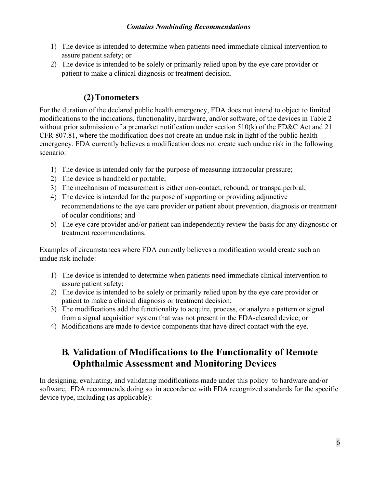- 1) The device is intended to determine when patients need immediate clinical intervention to assure patient safety; or
- 2) The device is intended to be solely or primarily relied upon by the eye care provider or patient to make a clinical diagnosis or treatment decision.

#### **(2)Tonometers**

<span id="page-8-0"></span>For the duration of the declared public health emergency, FDA does not intend to object to limited modifications to the indications, functionality, hardware, and/or software, of the devices in Table 2 without prior submission of a premarket notification under section 510(k) of the FD&C Act and 21 CFR 807.81, where the modification does not create an undue risk in light of the public health emergency. FDA currently believes a modification does not create such undue risk in the following scenario:

- 1) The device is intended only for the purpose of measuring intraocular pressure;
- 2) The device is handheld or portable;
- 3) The mechanism of measurement is either non-contact, rebound, or transpalperbral;
- 4) The device is intended for the purpose of supporting or providing adjunctive recommendations to the eye care provider or patient about prevention, diagnosis or treatment of ocular conditions; and
- 5) The eye care provider and/or patient can independently review the basis for any diagnostic or treatment recommendations.

Examples of circumstances where FDA currently believes a modification would create such an undue risk include:

- 1) The device is intended to determine when patients need immediate clinical intervention to assure patient safety;
- 2) The device is intended to be solely or primarily relied upon by the eye care provider or patient to make a clinical diagnosis or treatment decision;
- 3) The modifications add the functionality to acquire, process, or analyze a pattern or signal from a signal acquisition system that was not present in the FDA-cleared device; or
- 4) Modifications are made to device components that have direct contact with the eye.

### <span id="page-8-1"></span>**B. Validation of Modifications to the Functionality of Remote Ophthalmic Assessment and Monitoring Devices**

In designing, evaluating, and validating modifications made under this policy to hardware and/or software, FDA recommends doing so in accordance with FDA recognized standards for the specific device type, including (as applicable):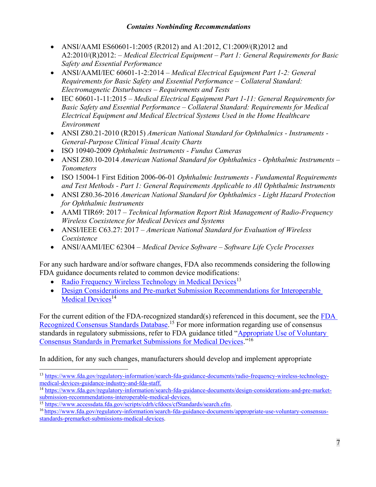- ANSI/AAMI ES60601-1:2005 (R2012) and A1:2012, C1:2009/(R)2012 and A2:2010/(R)2012: – *Medical Electrical Equipment – Part 1: General Requirements for Basic Safety and Essential Performance*
- · ANSI/AAMI/IEC 60601-1-2:2014 *Medical Electrical Equipment Part 1-2: General Requirements for Basic Safety and Essential Performance – Collateral Standard: Electromagnetic Disturbances – Requirements and Tests*
- · IEC 60601-1-11:2015 *Medical Electrical Equipment Part 1-11: General Requirements for Basic Safety and Essential Performance – Collateral Standard: Requirements for Medical Electrical Equipment and Medical Electrical Systems Used in the Home Healthcare Environment*
- · ANSI Z80.21-2010 (R2015) *American National Standard for Ophthalmics - Instruments - General-Purpose Clinical Visual Acuity Charts*
- · ISO 10940-2009 *Ophthalmic Instruments - Fundus Cameras*
- · ANSI Z80.10-2014 *American National Standard for Ophthalmics - Ophthalmic Instruments – Tonometers*
- · ISO 15004-1 First Edition 2006-06-01 *Ophthalmic Instruments - Fundamental Requirements and Test Methods - Part 1: General Requirements Applicable to All Ophthalmic Instruments*
- · ANSI Z80.36-2016 *American National Standard for Ophthalmics - Light Hazard Protection for Ophthalmic Instruments*
- · AAMI TIR69: 2017 *Technical Information Report Risk Management of Radio-Frequency Wireless Coexistence for Medical Devices and Systems*
- · ANSI/IEEE C63.27: 2017 *American National Standard for Evaluation of Wireless Coexistence*
- · ANSI/AAMI/IEC 62304 *Medical Device Software – Software Life Cycle Processes*

For any such hardware and/or software changes, FDA also recommends considering the following FDA guidance documents related to common device modifications:

- [Radio Frequency Wireless Technology in Medical Devices](https://www.fda.gov/regulatory-information/search-fda-guidance-documents/radio-frequency-wireless-technology-medical-devices-guidance-industry-and-fda-staff)<sup>[13](#page-9-0)</sup>
- · [Design Considerations and Pre-market Submission Recommendations for Interoperable](https://www.fda.gov/regulatory-information/search-fda-guidance-documents/design-considerations-and-pre-market-submission-recommendations-interoperable-medical-devices)  [Medical Devices](https://www.fda.gov/regulatory-information/search-fda-guidance-documents/design-considerations-and-pre-market-submission-recommendations-interoperable-medical-devices)<sup>[14](#page-9-1)</sup>

For the current edition of the FDA-recognized standard(s) referenced in this document, see the [FDA](https://www.accessdata.fda.gov/scripts/cdrh/cfdocs/cfStandards/search.cfm)  [Recognized Consensus Standards Database](https://www.accessdata.fda.gov/scripts/cdrh/cfdocs/cfStandards/search.cfm).<sup>[15](#page-9-2)</sup> For more information regarding use of consensus standards in regulatory submissions, refer to FDA guidance titled "Appropriate Use of Voluntary [Consensus Standards in Premarket Submissions for Medical Devices](https://www.fda.gov/regulatory-information/search-fda-guidance-documents/appropriate-use-voluntary-consensus-standards-premarket-submissions-medical-devices)."[16](#page-9-3)

In addition, for any such changes, manufacturers should develop and implement appropriate

<span id="page-9-0"></span> $\overline{a}$ <sup>13</sup> [https://www.fda.gov/regulatory-information/search-fda-guidance-documents/radio-frequency-wireless-technology](https://www.fda.gov/regulatory-information/search-fda-guidance-documents/radio-frequency-wireless-technology-medical-devices-guidance-industry-and-fda-staff)[medical-devices-guidance-industry-and-fda-staff.](https://www.fda.gov/regulatory-information/search-fda-guidance-documents/radio-frequency-wireless-technology-medical-devices-guidance-industry-and-fda-staff)

<span id="page-9-1"></span><sup>14</sup> [https://www.fda.gov/regulatory-information/search-fda-guidance-documents/design-considerations-and-pre-market](https://www.fda.gov/regulatory-information/search-fda-guidance-documents/design-considerations-and-pre-market-submission-recommendations-interoperable-medical-devices)[submission-recommendations-interoperable-medical-devices.](https://www.fda.gov/regulatory-information/search-fda-guidance-documents/design-considerations-and-pre-market-submission-recommendations-interoperable-medical-devices)

<span id="page-9-2"></span><sup>15</sup> <https://www.accessdata.fda.gov/scripts/cdrh/cfdocs/cfStandards/search.cfm>.

<span id="page-9-3"></span><sup>16</sup> [https://www.fda.gov/regulatory-information/search-fda-guidance-documents/appropriate-use-voluntary-consensus](https://www.fda.gov/regulatory-information/search-fda-guidance-documents/appropriate-use-voluntary-consensus-standards-premarket-submissions-medical-devices)[standards-premarket-submissions-medical-devices](https://www.fda.gov/regulatory-information/search-fda-guidance-documents/appropriate-use-voluntary-consensus-standards-premarket-submissions-medical-devices).